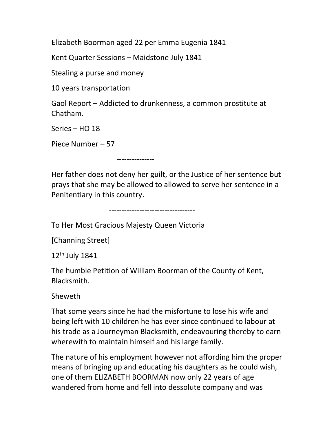Elizabeth Boorman aged 22 per Emma Eugenia 1841

Kent Quarter Sessions – Maidstone July 1841

Stealing a purse and money

10 years transportation

Gaol Report – Addicted to drunkenness, a common prostitute at Chatham.

Series – HO 18

Piece Number – 57

---------------

Her father does not deny her guilt, or the Justice of her sentence but prays that she may be allowed to allowed to serve her sentence in a Penitentiary in this country.

----------------------------------

To Her Most Gracious Majesty Queen Victoria

[Channing Street]

12th July 1841

The humble Petition of William Boorman of the County of Kent, Blacksmith.

Sheweth

That some years since he had the misfortune to lose his wife and being left with 10 children he has ever since continued to labour at his trade as a Journeyman Blacksmith, endeavouring thereby to earn wherewith to maintain himself and his large family.

The nature of his employment however not affording him the proper means of bringing up and educating his daughters as he could wish, one of them ELIZABETH BOORMAN now only 22 years of age wandered from home and fell into dessolute company and was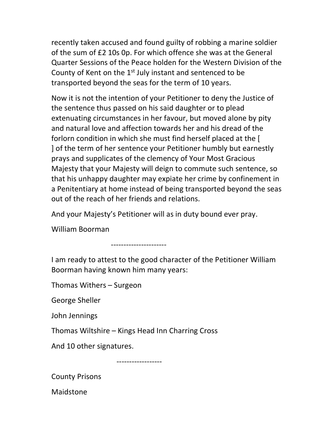recently taken accused and found guilty of robbing a marine soldier of the sum of £2 10s 0p. For which offence she was at the General Quarter Sessions of the Peace holden for the Western Division of the County of Kent on the 1<sup>st</sup> July instant and sentenced to be transported beyond the seas for the term of 10 years.

Now it is not the intention of your Petitioner to deny the Justice of the sentence thus passed on his said daughter or to plead extenuating circumstances in her favour, but moved alone by pity and natural love and affection towards her and his dread of the forlorn condition in which she must find herself placed at the [ ] of the term of her sentence your Petitioner humbly but earnestly prays and supplicates of the clemency of Your Most Gracious Majesty that your Majesty will deign to commute such sentence, so that his unhappy daughter may expiate her crime by confinement in a Penitentiary at home instead of being transported beyond the seas out of the reach of her friends and relations.

And your Majesty's Petitioner will as in duty bound ever pray.

William Boorman

----------------------

I am ready to attest to the good character of the Petitioner William Boorman having known him many years:

Thomas Withers – Surgeon

George Sheller

John Jennings

Thomas Wiltshire – Kings Head Inn Charring Cross

And 10 other signatures.

------------------

County Prisons

Maidstone